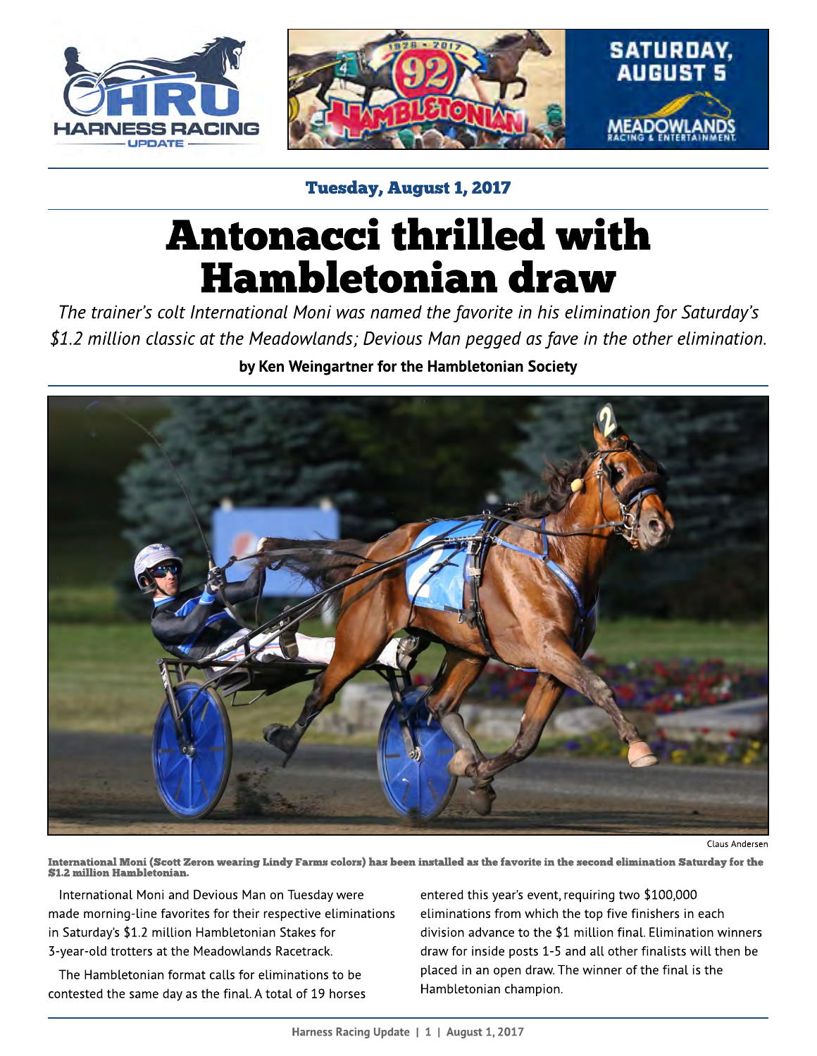

**Tuesday, August 1, 2017** 

## **Antonacci thrilled with** Hambletonian draw

**The trainer?s colt International Moni was named the favorite in his elimination for Saturday?s \$1.2 million classic at the Meadowlands; Devious Man pegged as fave in the other elimination.** by Ken Weingartner for the Hambletonian Society



Claus Andersen

International Moni (Scott Zeron wearing Lindy Farms colors) has been installed as the favorite in the second elimination Saturday for the \$ 1.2 million Hambletonian.

 International Moni and Devious Man on Tuesday were made morning-line favorites for their respective eliminations in Saturday?s \$1.2 million Hambletonian Stakes for 3-year-old trotters at the Meadowlands Racetrack.

 The Hambletonian format calls for eliminations to be contested the same day as the final. A total of 19 horses entered this year?s event, requiring two \$100,000 eliminations from which the top five finishers in each division advance to the \$1 million final. Elimination winners draw for inside posts 1-5 and all other finalists will then be placed in an open draw. The winner of the final is the Hambletonian champion.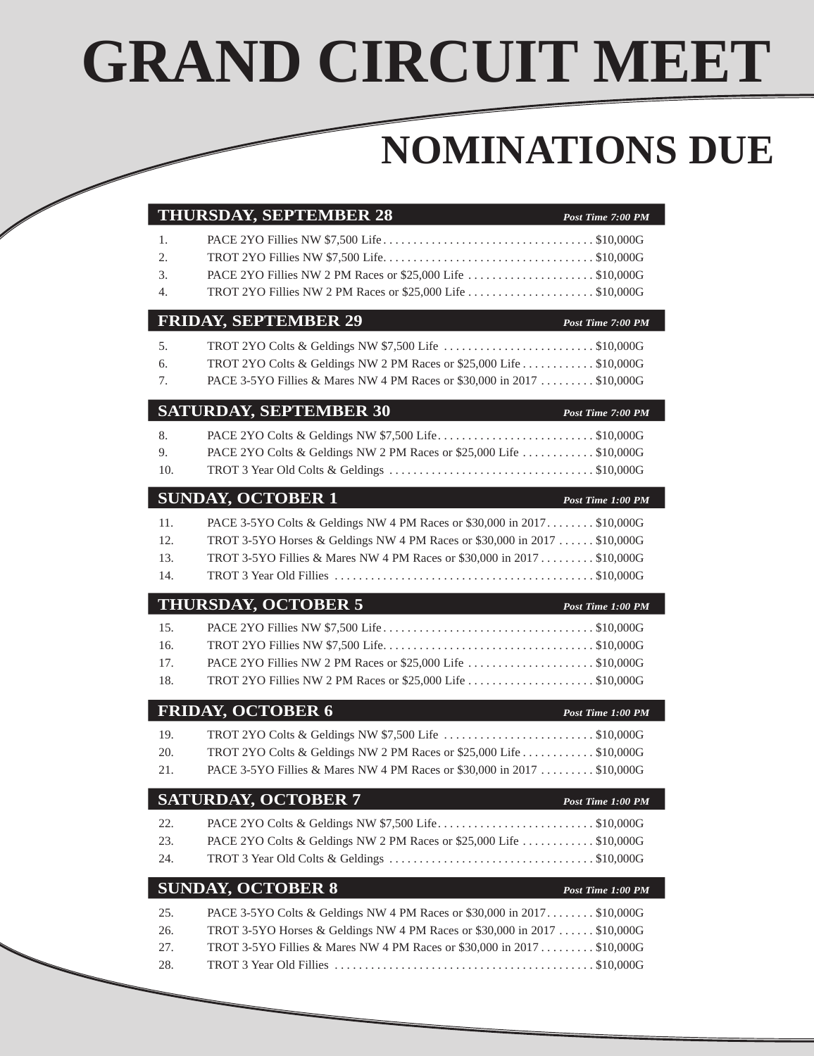# **GRAND CIRCUIT MEET**

## **NOMINATIONS DUE**

|                        | THURSDAY, SEPTEMBER 28                                                                                                                              | Post Time 7:00 PM |
|------------------------|-----------------------------------------------------------------------------------------------------------------------------------------------------|-------------------|
| 1.                     |                                                                                                                                                     |                   |
| $\overline{2}$ .<br>3. |                                                                                                                                                     |                   |
| $\overline{4}$ .       |                                                                                                                                                     |                   |
|                        | <b>FRIDAY, SEPTEMBER 29</b><br><b>Service Service</b>                                                                                               | Post Time 7:00 PM |
| 5.                     |                                                                                                                                                     |                   |
| 6.                     | TROT 2YO Colts & Geldings NW 2 PM Races or \$25,000 Life  \$10,000G                                                                                 |                   |
| 7.                     | PACE 3-5YO Fillies & Mares NW 4 PM Races or \$30,000 in 2017  \$10,000G                                                                             |                   |
|                        | <b>SATURDAY, SEPTEMBER 30</b>                                                                                                                       | Post Time 7:00 PM |
| 8.                     |                                                                                                                                                     |                   |
| 9.                     | PACE 2YO Colts & Geldings NW 2 PM Races or \$25,000 Life \$10,000G                                                                                  |                   |
| 10.                    |                                                                                                                                                     |                   |
|                        | <b>SUNDAY, OCTOBER 1</b>                                                                                                                            | Post Time 1:00 PM |
| 11.                    | PACE 3-5YO Colts & Geldings NW 4 PM Races or \$30,000 in 2017 \$10,000G                                                                             |                   |
| 12.<br>13.             | TROT 3-5YO Horses & Geldings NW 4 PM Races or \$30,000 in 2017  \$10,000G<br>TROT 3-5YO Fillies & Mares NW 4 PM Races or \$30,000 in 2017 \$10,000G |                   |
| 14.                    |                                                                                                                                                     |                   |
|                        |                                                                                                                                                     |                   |
|                        | THURSDAY, OCTOBER 5<br><b>Example 2.1 Post Time 1:00 PM</b>                                                                                         |                   |
| 15.                    |                                                                                                                                                     |                   |
| 16.                    |                                                                                                                                                     |                   |
| 17.<br>18.             |                                                                                                                                                     |                   |
|                        |                                                                                                                                                     |                   |
|                        | <b>FRIDAY, OCTOBER 6</b>                                                                                                                            | Post Time 1:00 PM |
| 19.<br>20.             | TROT 2YO Colts & Geldings NW 2 PM Races or \$25,000 Life \$10,000G                                                                                  |                   |
| 21.                    | PACE 3-5YO Fillies & Mares NW 4 PM Races or \$30,000 in 2017  \$10,000G                                                                             |                   |
|                        | <b>SATURDAY, OCTOBER 7</b>                                                                                                                          | Post Time 1:00 PM |
| 22.                    |                                                                                                                                                     |                   |
| 23.                    | PACE 2YO Colts & Geldings NW 2 PM Races or \$25,000 Life  \$10,000G                                                                                 |                   |
| 24.                    |                                                                                                                                                     |                   |
|                        | <b>SUNDAY, OCTOBER 8</b>                                                                                                                            | Post Time 1:00 PM |
| 25.                    | PACE 3-5YO Colts & Geldings NW 4 PM Races or \$30,000 in 2017 \$10,000G                                                                             |                   |
| 26.<br>27.             | TROT 3-5YO Horses & Geldings NW 4 PM Races or \$30,000 in 2017  \$10,000G                                                                           |                   |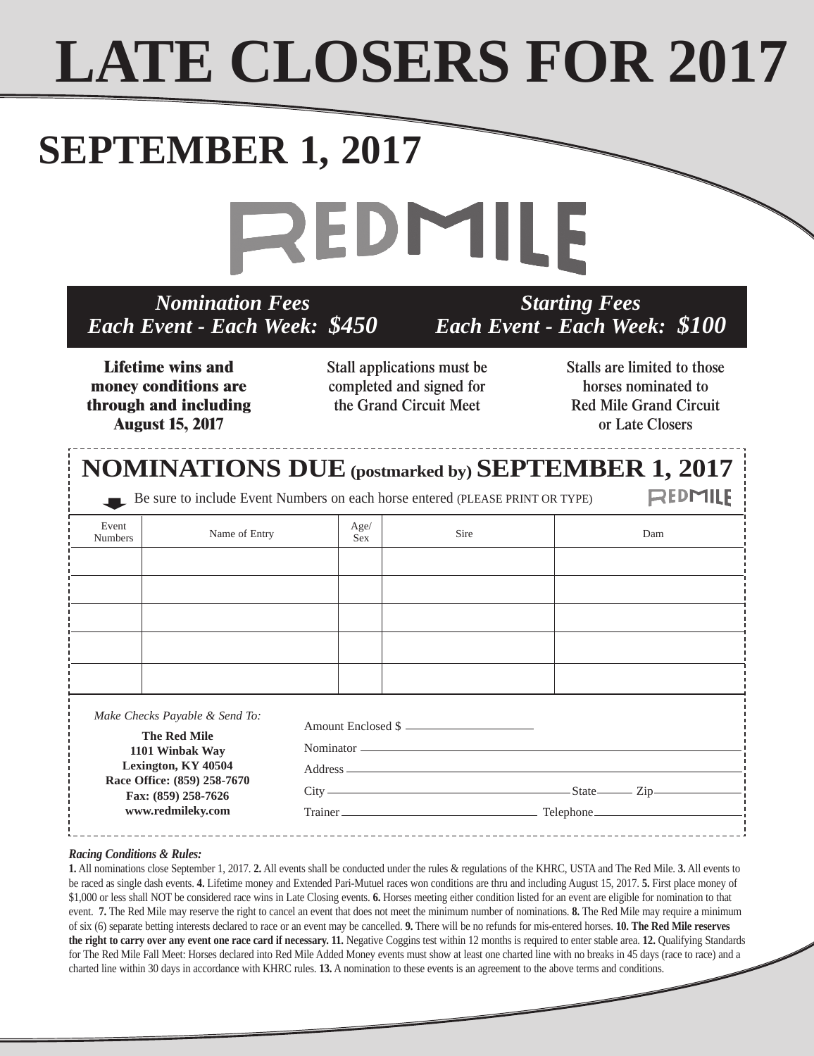# **LATE CLOSERS FOR 2017**

## **SEPTEMBER 1, 2017**



*Nomination Fees Each Event - Each Week: \$450*

*Starting Fees Each Event - Each Week: \$100*

**Lifetime wins and money conditions are through and including August 15, 2017**

**Stall applications must be completed and signed for the Grand Circuit Meet**

**Stalls are limited to those horses nominated to Red Mile Grand Circuit or Late Closers**

### **NOMINATIONS DUE(postmarked by) SEPTEMBER 1, 2017**

Be sure to include Event Numbers on each horse entered (PLEASE PRINT OR TYPE)

 $\bullet$ **REDMILE** Event<br>Numbers Name of Entry  $\begin{array}{c|c}\n\text{Age/} \\
\text{Sex}\n\end{array}$  Sire Dam Name of Entry  $\begin{array}{c|c}\n\hline\n\text{Sex}\n\end{array}$ *Make Checks Payable & Send To:* Amount Enclosed \$ **The Red Mile 1101 Winbak Way** Nominator

**Lexington, KY 40504 Race Office: (859) 258-7670 Fax: (859) 258-7626 www.redmileky.com**

| Amount Enclosed \$         |  |
|----------------------------|--|
|                            |  |
|                            |  |
| $City$ $—$ $Zip$ $—$ $Zip$ |  |
|                            |  |

*Racing Conditions & Rules:*

**1.** All nominations close September 1, 2017. **2.** All events shall be conducted under the rules & regulations of the KHRC, USTA and The Red Mile. **3.** All events to be raced as single dash events. **4.** Lifetime money and Extended Pari-Mutuel races won conditions are thru and including August 15, 2017. **5.** First place money of \$1,000 or less shall NOT be considered race wins in Late Closing events. **6.** Horses meeting either condition listed for an event are eligible for nomination to that event. **7.** The Red Mile may reserve the right to cancel an event that does not meet the minimum number of nominations. **8.** The Red Mile may require a minimum of six (6) separate betting interests declared to race or an event may be cancelled. **9.** There will be no refunds for mis-entered horses. **10. The Red Mile reserves the right to carry over any event one race card if necessary. 11.** Negative Coggins test within 12 months is required to enter stable area. **12.** Qualifying Standards for The Red Mile Fall Meet: Horses declared into Red Mile Added Money events must show at least one charted line with no breaks in 45 days (race to race) and a charted line within 30 days in accordance with KHRC rules. **13.** A nomination to these events is an agreement to the above terms and conditions.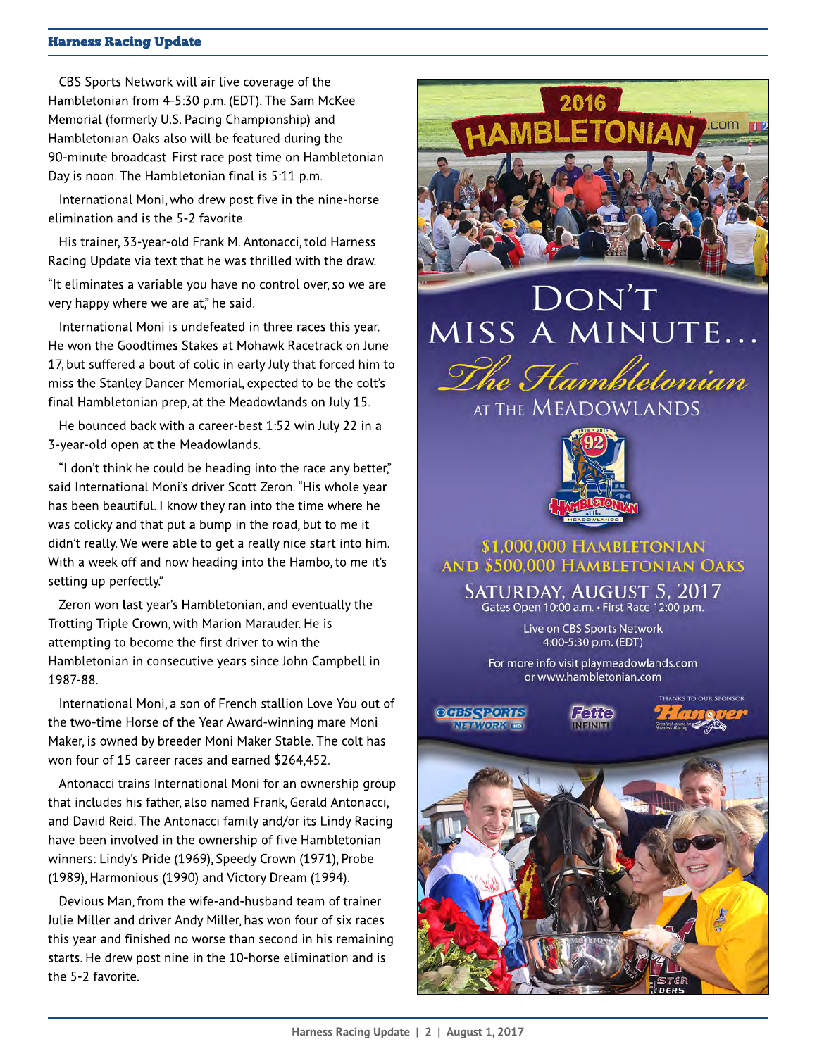#### Harness Racing Update

 CBS Sports Network will air live coverage of the Hambletonian from 4-5:30 p.m. (EDT). The Sam McKee Memorial (formerly U.S. Pacing Championship) and Hambletonian Oaks also will be featured during the 90-minute broadcast. First race post time on Hambletonian Day is noon. The Hambletonian final is 5:11 p.m.

 International Moni, who drew post five in the nine-horse elimination and is the 5-2 favorite.

 His trainer, 33-year-old Frank M. Antonacci, told Harness Racing Update via text that he was thrilled with the draw.

"It eliminates a variable you have no control over, so we are very happy where we are at," he said.

 International Moni is undefeated in three races this year. He won the Goodtimes Stakes at Mohawk Racetrack on June 17, but suffered a bout of colic in early July that forced him to miss the Stanley Dancer Memorial, expected to be the colt?s final Hambletonian prep, at the Meadowlands on July 15.

 He bounced back with a career-best 1:52 win July 22 in a 3-year-old open at the Meadowlands.

"I don't think he could be heading into the race any better," said International Moni's driver Scott Zeron. "His whole year has been beautiful. I know they ran into the time where he was colicky and that put a bump in the road, but to me it didn?t really. We were able to get a really nice start into him. With a week off and now heading into the Hambo, to me it's setting up perfectly."

 Zeron won last year?s Hambletonian, and eventually the Trotting Triple Crown, with Marion Marauder. He is attempting to become the first driver to win the Hambletonian in consecutive years since John Campbell in 1987-88.

 International Moni, a son of French stallion Love You out of the two-time Horse of the Year Award-winning mare Moni Maker, is owned by breeder Moni Maker Stable. The colt has won four of 15 career races and earned \$264,452.

 Antonacci trains International Moni for an ownership group that includes his father, also named Frank, Gerald Antonacci, and David Reid. The Antonacci family and/or its Lindy Racing have been involved in the ownership of five Hambletonian winners: Lindy?s Pride (1969), Speedy Crown (1971), Probe (1989), Harmonious (1990) and Victory Dream (1994).

 Devious Man, from the wife-and-husband team of trainer Julie Miller and driver Andy Miller, has won four of six races this year and finished no worse than second in his remaining starts. He drew post nine in the 10-horse elimination and is the 5-2 favorite.



## DON'T MISS A MINUTE...



AT THE MEADOWLANDS



#### \$1,000,000 HAMBLETONIAN AND \$500,000 HAMBLETONIAN OAKS

SATURDAY, AUGUST 5, 2017 Gates Open 10:00 a.m. · First Race 12:00 p.m.

> Live on CBS Sports Network 4:00-5:30 p.m. (EDT)

For more info visit playmeadowlands.com or www.hambletonian.com

**OGBSSPORIS NETWORK** NO

ោះតែ



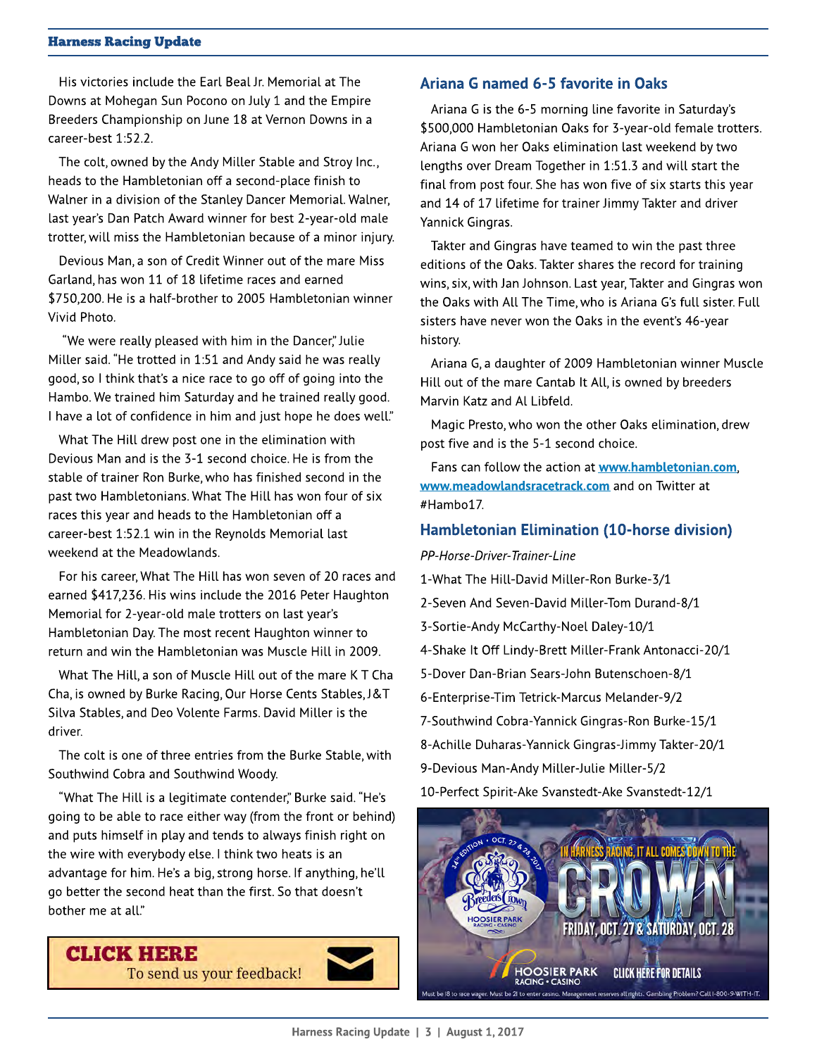#### Harness Racing Update

 His victories include the Earl Beal Jr. Memorial at The Downs at Mohegan Sun Pocono on July 1 and the Empire Breeders Championship on June 18 at Vernon Downs in a career-best 1:52.2.

 The colt, owned by the Andy Miller Stable and Stroy Inc., heads to the Hambletonian off a second-place finish to Walner in a division of the Stanley Dancer Memorial. Walner, last year?s Dan Patch Award winner for best 2-year-old male trotter, will miss the Hambletonian because of a minor injury.

 Devious Man, a son of Credit Winner out of the mare Miss Garland, has won 11 of 18 lifetime races and earned \$750,200. He is a half-brother to 2005 Hambletonian winner Vivid Photo.

"We were really pleased with him in the Dancer," Julie Miller said. "He trotted in 1:51 and Andy said he was really good, so I think that?s a nice race to go off of going into the Hambo. We trained him Saturday and he trained really good. I have a lot of confidence in him and just hope he does well.?

 What The Hill drew post one in the elimination with Devious Man and is the 3-1 second choice. He is from the stable of trainer Ron Burke, who has finished second in the past two Hambletonians. What The Hill has won four of six races this year and heads to the Hambletonian off a career-best 1:52.1 win in the Reynolds Memorial last weekend at the Meadowlands.

 For his career, What The Hill has won seven of 20 races and earned \$417,236. His wins include the 2016 Peter Haughton Memorial for 2-year-old male trotters on last year?s Hambletonian Day. The most recent Haughton winner to return and win the Hambletonian was Muscle Hill in 2009.

 What The Hill, a son of Muscle Hill out of the mare K T Cha Cha, is owned by Burke Racing, Our Horse Cents Stables, J& T Silva Stables, and Deo Volente Farms. David Miller is the driver.

 The colt is one of three entries from the Burke Stable, with Southwind Cobra and Southwind Woody.

"What The Hill is a legitimate contender," Burke said. "He's going to be able to race either way (from the front or behind) and puts himself in play and tends to always finish right on the wire with everybody else. I think two heats is an advantage for him. He's a big, strong horse. If anything, he'll go better the second heat than the first. So that doesn?t bother me at all."



To send us your feedback!

#### Ariana G named 6-5 favorite in Oaks

 Ariana G is the 6-5 morning line favorite in Saturday?s \$500,000 Hambletonian Oaks for 3-year-old female trotters. Ariana G won her Oaks elimination last weekend by two lengths over Dream Together in 1:51.3 and will start the final from post four. She has won five of six starts this year and 14 of 17 lifetime for trainer Jimmy Takter and driver Yannick Gingras.

 Takter and Gingras have teamed to win the past three editions of the Oaks. Takter shares the record for training wins, six, with Jan Johnson. Last year, Takter and Gingras won the Oaks with All The Time, who is Ariana G's full sister. Full sisters have never won the Oaks in the event's 46-year history.

 Ariana G, a daughter of 2009 Hambletonian winner Muscle Hill out of the mare Cantab It All, is owned by breeders Marvin Katz and Al Libfeld.

 Magic Presto, who won the other Oaks elimination, drew post five and is the 5-1 second choice.

 Fans can follow the action at [www.hambletonian.com](http://www.hambletonian.com/), [www.meadowlandsracetrack.com](http://www.meadowlandsracetrack.com/) and on Twitter at #Hambo17.

#### Hambletonian Elimination (10-horse division)

**PP-Horse-Driver-Trainer-Line** 

- 1-What The Hill-David Miller-Ron Burke-3/1
- 2-Seven And Seven-David Miller-Tom Durand-8/1
- 3-Sortie-Andy McCarthy-Noel Daley-10/1
- 4-Shake It Off Lindy-Brett Miller-Frank Antonacci-20/1
- 5-Dover Dan-Brian Sears-John Butenschoen-8/1
- 6-Enterprise-Tim Tetrick-Marcus Melander-9/2
- 7-Southwind Cobra-Yannick Gingras-Ron Burke-15/1
- 8-Achille Duharas-Yannick Gingras-Jimmy Takter-20/1
- 9-Devious Man-Andy Miller-Julie Miller-5/2

10-Perfect Spirit-Ake Svanstedt-Ake Svanstedt-12/1